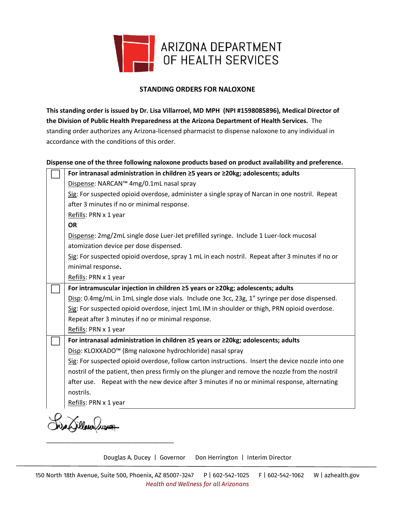

## **STANDING ORDERS FOR NALOXONE**

**This standing order is issued by Dr. Lisa Villarroel, MD MPH (NPI #1598085896), Medical Director of the Division of Public Health Preparedness at the Arizona Department of Health Services.** The standing order authorizes any Arizona-licensed pharmacist to dispense naloxone to any individual in accordance with the conditions of this order.

## **Dispense one of the three following naloxone products based on product availability and preference.**

|  | For intranasal administration in children ≥5 years or ≥20kg; adolescents; adults                  |
|--|---------------------------------------------------------------------------------------------------|
|  | Dispense: NARCAN™ 4mg/0.1mL nasal spray                                                           |
|  | Sig: For suspected opioid overdose, administer a single spray of Narcan in one nostril. Repeat    |
|  | after 3 minutes if no or minimal response.                                                        |
|  | Refills: PRN x 1 year                                                                             |
|  | <b>OR</b>                                                                                         |
|  | Dispense: 2mg/2mL single dose Luer-Jet prefilled syringe. Include 1 Luer-lock mucosal             |
|  | atomization device per dose dispensed.                                                            |
|  | Sig: For suspected opioid overdose, spray 1 mL in each nostril. Repeat after 3 minutes if no or   |
|  | minimal response.                                                                                 |
|  | Refills: PRN x 1 year                                                                             |
|  | For intramuscular injection in children ≥5 years or ≥20kg; adolescents; adults                    |
|  | Disp: 0.4mg/mL in 1mL single dose vials. Include one 3cc, 23g, 1" syringe per dose dispensed.     |
|  | Sig: For suspected opioid overdose, inject 1mL IM in shoulder or thigh, PRN opioid overdose.      |
|  | Repeat after 3 minutes if no or minimal response.                                                 |
|  | Refills: PRN x 1 year                                                                             |
|  | For intranasal administration in children ≥5 years or ≥20kg; adolescents; adults                  |
|  | Disp: KLOXXADO™ (8mg naloxone hydrochloride) nasal spray                                          |
|  | Sig: For suspected opioid overdose, follow carton instructions. Insert the device nozzle into one |
|  | nostril of the patient, then press firmly on the plunger and remove the nozzle from the nostril   |
|  | Repeat with the new device after 3 minutes if no or minimal response, alternating<br>after use.   |
|  | nostrils.                                                                                         |
|  | Refills: PRN x 1 year                                                                             |
|  |                                                                                                   |

Douglas A. Ducey | Governor Don Herrington | Interim Director

\_\_\_\_\_\_\_\_\_\_\_\_\_\_\_\_\_\_\_\_\_\_\_\_\_\_\_\_\_\_\_\_\_\_\_\_